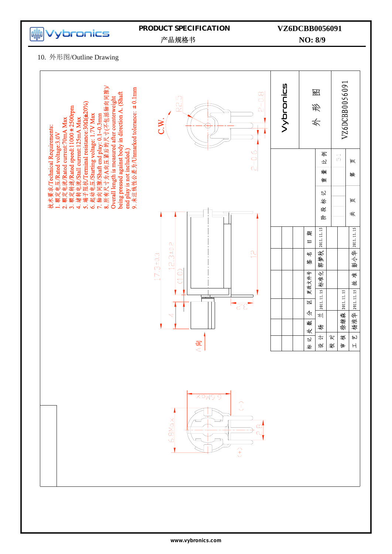

### **PRODUCT SPECIFICATION**

## **NO: 8/9 VZ6DCBB0056091**

产品规格书

10. 外形图/Outline Drawing